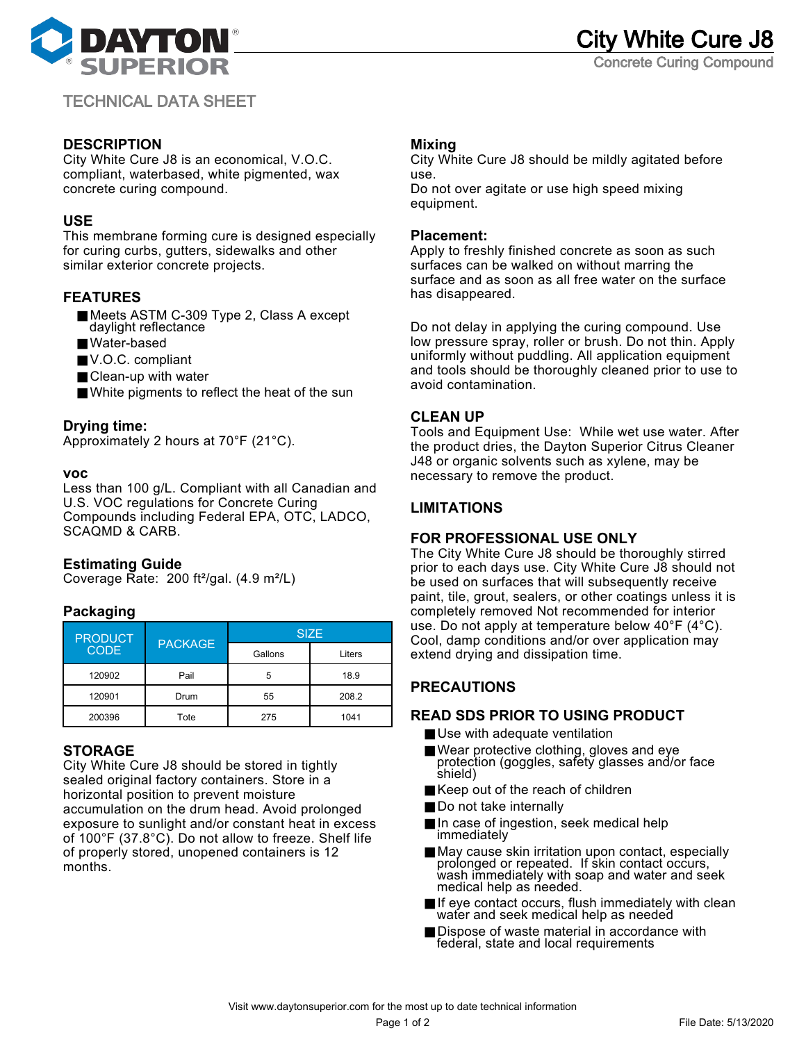

TECHNICAL DATA SHEET

## **DESCRIPTION**

City White Cure J8 is an economical, V.O.C. compliant, waterbased, white pigmented, wax concrete curing compound.

## **USE**

This membrane forming cure is designed especially for curing curbs, gutters, sidewalks and other similar exterior concrete projects.

# **FEATURES**

- Meets ASTM C-309 Type 2, Class A except daylight reflectance
- Water-based
- V.O.C. compliant
- Clean-up with water
- White pigments to reflect the heat of the sun

### **Drying time:**

Approximately 2 hours at 70°F (21°C).

#### **voc**

Less than 100 g/L. Compliant with all Canadian and U.S. VOC regulations for Concrete Curing Compounds including Federal EPA, OTC, LADCO, SCAQMD & CARB.

## **Estimating Guide**

Coverage Rate: 200 ft²/gal. (4.9 m²/L)

## **Packaging**

| <b>PRODUCT</b><br><b>CODE</b> | <b>PACKAGE</b> | <b>SIZE</b> |        |
|-------------------------------|----------------|-------------|--------|
|                               |                | Gallons     | Liters |
| 120902                        | Pail           | 5           | 18.9   |
| 120901                        | Drum           | 55          | 208.2  |
| 200396                        | Tote           | 275         | 1041   |

## **STORAGE**

City White Cure J8 should be stored in tightly sealed original factory containers. Store in a horizontal position to prevent moisture accumulation on the drum head. Avoid prolonged exposure to sunlight and/or constant heat in excess of 100°F (37.8°C). Do not allow to freeze. Shelf life of properly stored, unopened containers is 12 months.

## **Mixing**

City White Cure J8 should be mildly agitated before use. Do not over agitate or use high speed mixing equipment.

#### **Placement:**

Apply to freshly finished concrete as soon as such surfaces can be walked on without marring the surface and as soon as all free water on the surface has disappeared.

Do not delay in applying the curing compound. Use low pressure spray, roller or brush. Do not thin. Apply uniformly without puddling. All application equipment and tools should be thoroughly cleaned prior to use to avoid contamination.

### **CLEAN UP**

Tools and Equipment Use: While wet use water. After the product dries, the Dayton Superior Citrus Cleaner J48 or organic solvents such as xylene, may be necessary to remove the product.

## **LIMITATIONS**

#### **FOR PROFESSIONAL USE ONLY**

The City White Cure J8 should be thoroughly stirred prior to each days use. City White Cure J8 should not be used on surfaces that will subsequently receive paint, tile, grout, sealers, or other coatings unless it is completely removed Not recommended for interior use. Do not apply at temperature below 40°F (4°C). Cool, damp conditions and/or over application may extend drying and dissipation time.

# **PRECAUTIONS**

#### **READ SDS PRIOR TO USING PRODUCT**

- Use with adequate ventilation
- Wear protective clothing, gloves and eye protection (goggles, safety glasses and/or face shield)
- Keep out of the reach of children
- Do not take internally
- In case of ingestion, seek medical help immediately
- May cause skin irritation upon contact, especially prolonged or repeated. If skin contact occurs, wash immediately with soap and water and seek medical help as needed.
- If eye contact occurs, flush immediately with clean water and seek medical help as needed
- Dispose of waste material in accordance with federal, state and local requirements